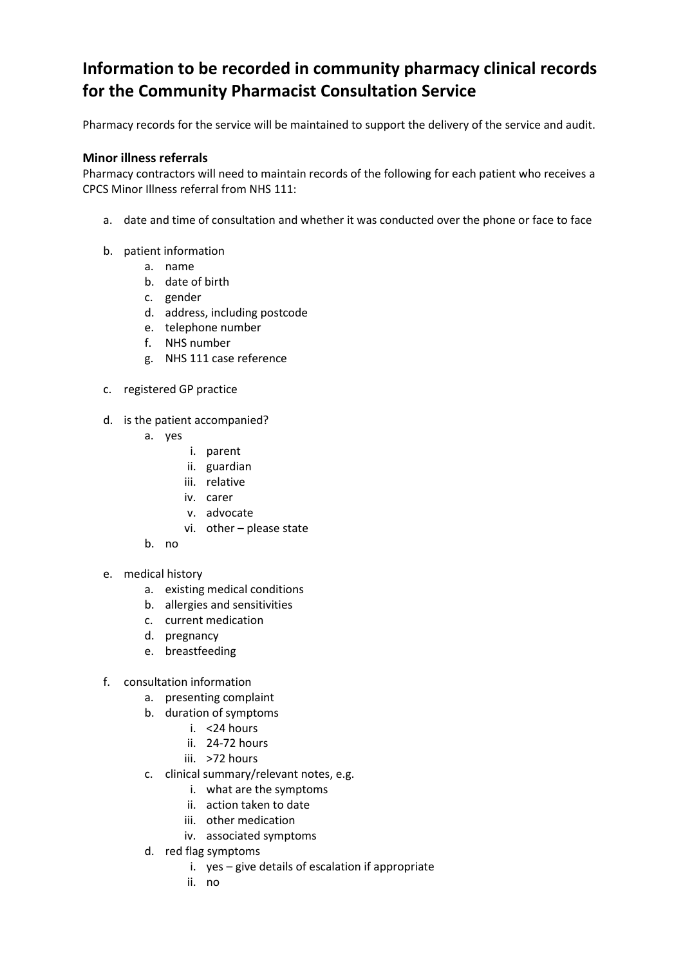## **Information to be recorded in community pharmacy clinical records for the Community Pharmacist Consultation Service**

Pharmacy records for the service will be maintained to support the delivery of the service and audit.

## **Minor illness referrals**

Pharmacy contractors will need to maintain records of the following for each patient who receives a CPCS Minor Illness referral from NHS 111:

- a. date and time of consultation and whether it was conducted over the phone or face to face
- b. patient information
	- a. name
	- b. date of birth
	- c. gender
	- d. address, including postcode
	- e. telephone number
	- f. NHS number
	- g. NHS 111 case reference
- c. registered GP practice
- d. is the patient accompanied?
	- a. yes
		- i. parent
		- ii. guardian
		- iii. relative
		- iv. carer
		- v. advocate
		- vi. other please state
	- b. no
- e. medical history
	- a. existing medical conditions
	- b. allergies and sensitivities
	- c. current medication
	- d. pregnancy
	- e. breastfeeding
- f. consultation information
	- a. presenting complaint
	- b. duration of symptoms
		- i. <24 hours
		- ii. 24-72 hours
		- iii. >72 hours
	- c. clinical summary/relevant notes, e.g.
		- i. what are the symptoms
		- ii. action taken to date
		- iii. other medication
		- iv. associated symptoms
	- d. red flag symptoms
		- i. yes give details of escalation if appropriate
		- ii. no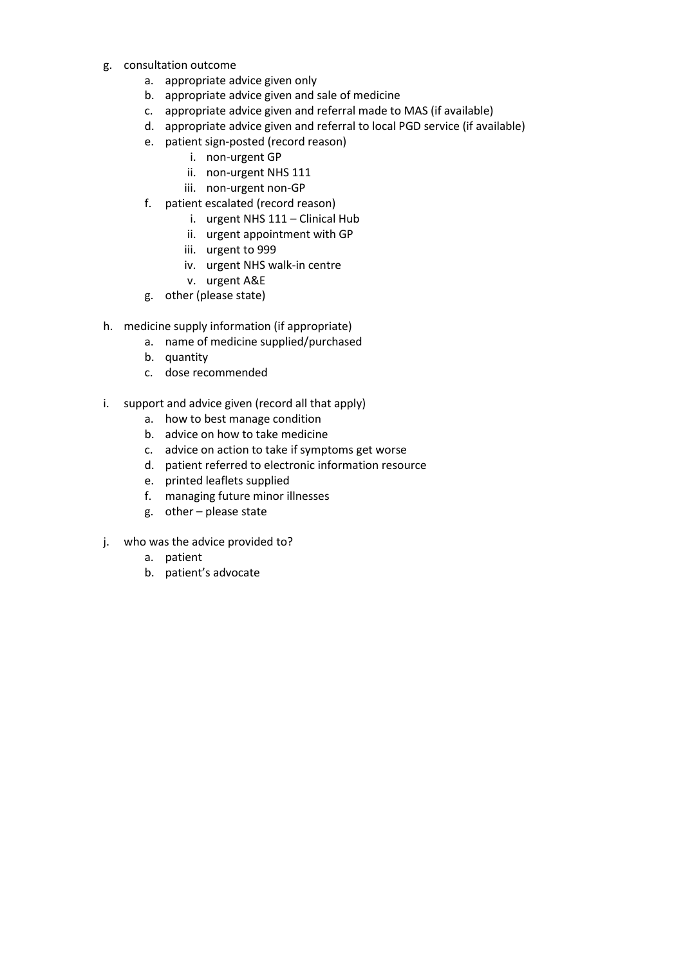- g. consultation outcome
	- a. appropriate advice given only
	- b. appropriate advice given and sale of medicine
	- c. appropriate advice given and referral made to MAS (if available)
	- d. appropriate advice given and referral to local PGD service (if available)
	- e. patient sign-posted (record reason)
		- i. non-urgent GP
		- ii. non-urgent NHS 111
		- iii. non-urgent non-GP
	- f. patient escalated (record reason)
		- i. urgent NHS 111 Clinical Hub
		- ii. urgent appointment with GP
		- iii. urgent to 999
		- iv. urgent NHS walk-in centre
		- v. urgent A&E
	- g. other (please state)
- h. medicine supply information (if appropriate)
	- a. name of medicine supplied/purchased
	- b. quantity
	- c. dose recommended
- i. support and advice given (record all that apply)
	- a. how to best manage condition
	- b. advice on how to take medicine
	- c. advice on action to take if symptoms get worse
	- d. patient referred to electronic information resource
	- e. printed leaflets supplied
	- f. managing future minor illnesses
	- g. other please state
- j. who was the advice provided to?
	- a. patient
	- b. patient's advocate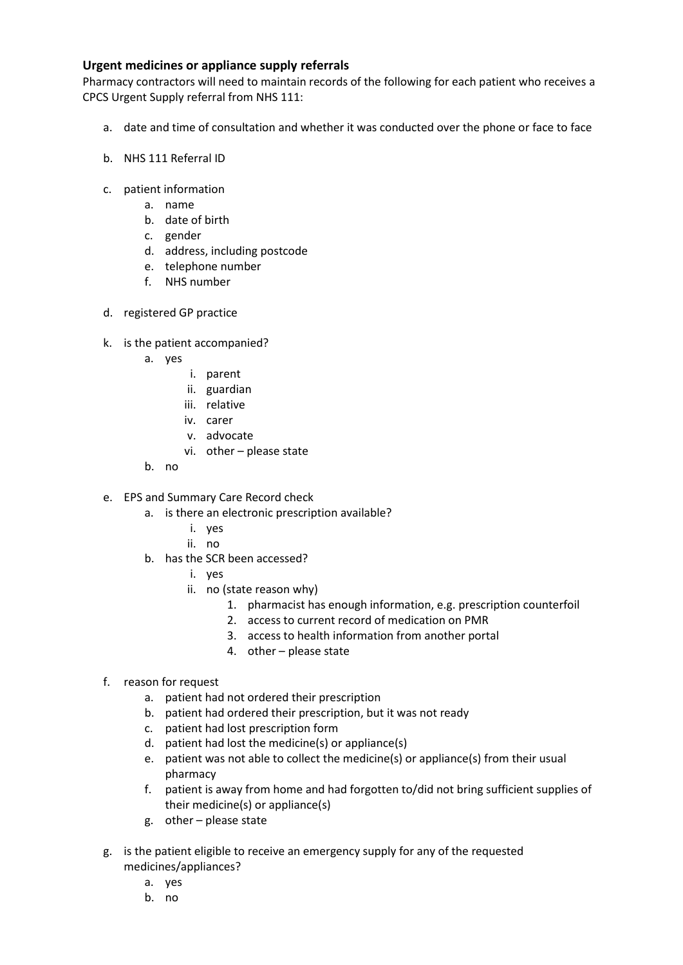## **Urgent medicines or appliance supply referrals**

Pharmacy contractors will need to maintain records of the following for each patient who receives a CPCS Urgent Supply referral from NHS 111:

- a. date and time of consultation and whether it was conducted over the phone or face to face
- b. NHS 111 Referral ID
- c. patient information
	- a. name
	- b. date of birth
	- c. gender
	- d. address, including postcode
	- e. telephone number
	- f. NHS number
- d. registered GP practice
- k. is the patient accompanied?
	- a. yes
		- i. parent
		- ii. guardian
		- iii. relative
		- iv. carer
		- v. advocate
		- vi. other please state
	- b. no
- e. EPS and Summary Care Record check
	- a. is there an electronic prescription available?
		- i. yes
		- ii. no
	- b. has the SCR been accessed?
		- i. yes
		- ii. no (state reason why)
			- 1. pharmacist has enough information, e.g. prescription counterfoil
			- 2. access to current record of medication on PMR
			- 3. access to health information from another portal
			- 4. other please state
- f. reason for request
	- a. patient had not ordered their prescription
	- b. patient had ordered their prescription, but it was not ready
	- c. patient had lost prescription form
	- d. patient had lost the medicine(s) or appliance(s)
	- e. patient was not able to collect the medicine(s) or appliance(s) from their usual pharmacy
	- f. patient is away from home and had forgotten to/did not bring sufficient supplies of their medicine(s) or appliance(s)
	- g. other please state
- g. is the patient eligible to receive an emergency supply for any of the requested medicines/appliances?
	- a. yes
	- b. no